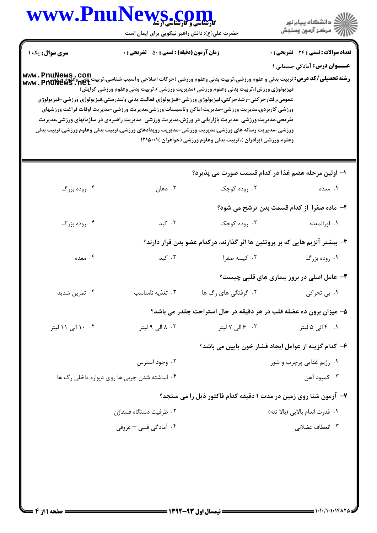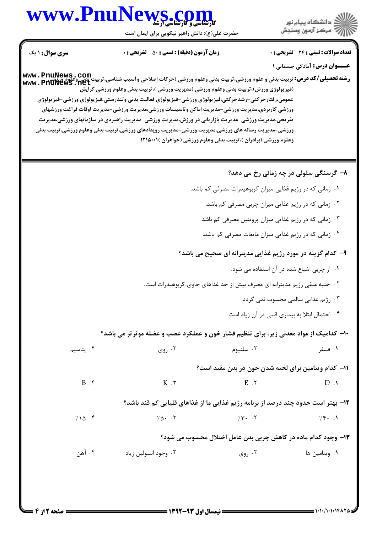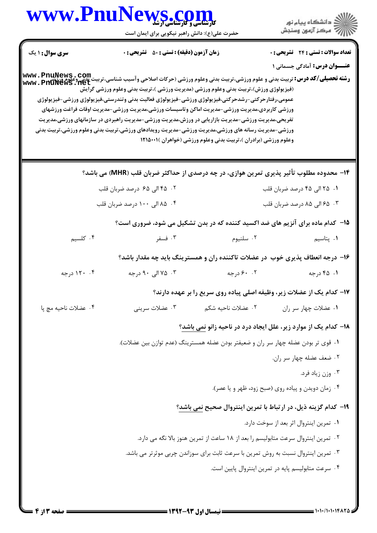